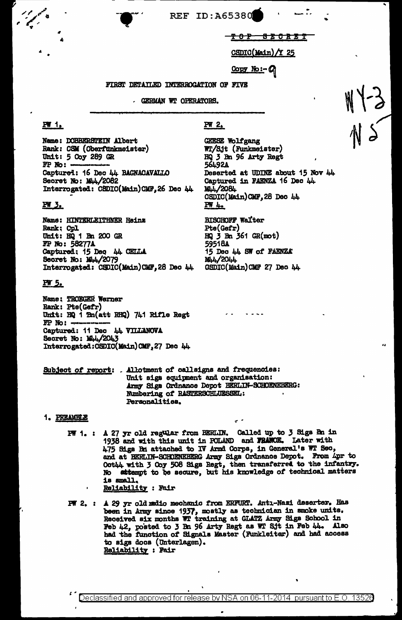**REF ID: A65380** 

<del>TOP SECRET</del>

<u>CSDIC(Main)/Y 25</u>

Copy No:- Q

#### FIRST DETAILED INTERROGATION OF FIVE

- GERMAN WT OFERATORS.

## **PW 1.**

Name: DOBBERSTEIN Albert Rank: CSM (Oberfunkmeister) Unit: 5 Coy 289 GR  $FP$  No:  $-$ Captured: 16 Dec 44 BAGNACAVALLO Secret No: Mu4/2082 Interrogated: CSDIC(Main)CMF, 26 Dec 44

## **PW 3.**

Name: HINTERLEITHNER Heinz Rank; Cpl Unit: HQ 1 Bn 200 GR FP No: 58277A Captured: 15 Dec 44 CELLA Secret No: 144/2079 Interrogated: CSDIC(Main)CMF, 28 Dec 44

#### PW 5.

Name: TROEGER Werner Rank: Pte(Gefr) Unit: HQ 1 Bn(att RHQ) 741 Rifle Regt  $FP$  No:  $-$ Captured: 11 Dec 44 VILLANOVA Secret No: 144/2043 Interrogated: CSDIC(Main)CMF, 27 Dec 44

# $PW_2$

GEESE Wolfgang WT/Sjt (Funkmeister) HQ 3 Bn 96 Arty Regt 56492A Deserted at UDINE about 15 Nov 44 Captured in FAENZA 16 Dec 44 M<sub>44</sub>/2084 CSDIC(Main)CMF, 28 Dec 44 PW 4.

**BISCHOFF Walter** Pte(Gefr) HQ 3 Bn 361 GR(mot) 59518A 15 Dec 44 SW of FAENZA M4/2044 GSDIC(Main)CMF 27 Dec 44

Subject of report: . Allotment of callsigns and frequencies: Unit sigs equipment and organisation: Army Sigs Ordnance Depot BERLIN-SCHOENEBERG: Numbering of RASTERSCHLUESSEL: Personalities.

#### 1. PREAMBLE

- PW 1. : A 27 yr old regular from BERLIN. Called up to 3 Sigs Bn in 1938 and with this unit in POLAND and FRANCE. Later with 475 Sigs Bn attached to IV Armd Corps, in General's WT Sec, and at BERLIN-SCHOENEBERG Army Sigs Ordnance Depot. From Apr to Oct44 with 3 Coy 508 Sigs Regt, then transferred to the infantry. No attempt to be secure, but his knowledge of technical matters is small. Reliability : Fair
- PW 2. : A 29 yr old medio mechanic from ERFURT. Anti-Nazi deserter. Has been in Army since 1937, mostly as technician in smoke units. Received six months WT training at GLATZ Army Sigs School in Feb 42, posted to 3 Bn 96 Arty Regt as WT Sjt in Feb 44. Also had the function of Signals Master (Funkleiter) and had access to sigs docs (Unterlagen). **Reliability : Fair**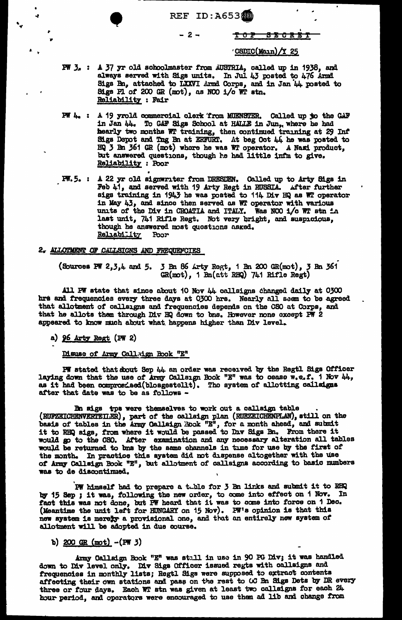REF ID:A65380<br>-2- <del>TOP</del>

- 2 - <del>TOP SECRET</del>

#### $\sqrt{CSDIC(M_{01n})}/Y$  25

- PW 3. : A 37 yr old schoolmaster from AUSTRIA, called up in 1938, and always served with Sigs units. In Jul 43 posted to  $476$  Armd Sigs Bn, attached to LXXVI Armd Corps, and in Jan 44 posted to Sigs Pl of 200 GR (mot), as NCO  $i$ /o WT stn. Reliability : Fair
- $PW$   $l_0$  : A 19 yrold commercial clerk from MUENSTER. Called up to the GAF in Jan 44. To GAF Sigs School at HALLE in Jun,. where he had hearly two months WT training, then continued training at 29 Inf Sigs Depot and Tng Bn at ERFURT. At beg Oct 44 he was posted to HQ 3 Bn 361 GR (mot) whore he was WT operator. A Nazi product, but answered questions, though he had little infm to give. **Reliability** : Poor
- PW.5. : A 22 yr old signwriter from DRESDEN. Called up to Arty Sigs in Feb 41, and served with 19 Arty Regt in RUSSIA. After further sigs training in 1943 he was posted to 114 Div HQ as WT operator in May 43, and since then served as WT operator with various units of the Div in CROATIA and ITALY. Was NCO i/c WT stn in last unit, 741 Rifle Regt. Not very bright, and suspicious, though he answered most quostions asked.<br>Reliability Poor Reliability

#### 2. ALLOTMENT OF CALLSIGNS AND FREQUEFOIES

(Sources PW 2,3,4 and 5. 3 Bn 86 Arty Regt, 1 Bn 200 GR(mot), 3 Bn 361  $GR(mot)$ , 1  $Bn(\text{att} RHQ)$  741 Rifle Regt)

All PW state that since about 10 Nov  $44$  callsigns changed daily at 0300 hrs and frequencies every three days at 0300 hrs. Nearly all saem to be agreed that allotment of callsigns and frequencies depends on the CSO at Corps, and that he allots them through Div HQ down to bns. However none except  $P^{\prime\prime}$  2 appeared to know much about what happens higher than Div level.

a) 96 Arty Regt (PW 2)

" .,

,.

~

.,

,. ..

Disuse of Army Call.ign Book "E"

PW stated that doout Sep 44 an order was received by the Regtl Sigs Officer laying down that the use of Army Callsign Book "E" was to cease w.e.f. 1 Nov 44, as it had been  ${\tt computed}$  (blosgestellt). Tho system of allotting calladges after that date was to be as follows -

Bn sigs tps were themselves to work out a callsign table .<br>(RUFZEICHENVERTEILER), part of the oallsign plan (RUEZEICHENPLAN), still on the basis of tables in the Army Callsign Book "E", for a month ahead, and submit it to RHQ sigs, from where it would be passed to Div Sigs Bn. From there it would go to the CSO. After examination and any necessary alteration all tables would be returned to bns by the same channels in time for use by the first of the month. In practice this system did not dispense altogether with the use of Army Callsign Book "E", but allotment of callsigns according to basic numbers was to ae diaaontinued.

PW himself had to prepare a tuble for 3 Bn links and submit it to RBQ by 15 Sep ; it was, following the new order, to come into effect on 1 Nov. In fact this was not done, but PW heard that it was to come into force on 1 Dec. (Meantime the unit left for HUNGARY on 15 Nov). PW's opinion is that this new system is merety a provisional one, and that an entirely new system of allotment will be adopted in due course.

b)  $200 \text{ GR (mot)} - (FW 3)$ 

Army Oallsign Book "E" was still in use in 90 PG Div; it was handled down to Div level only. Div Sigs Officer issued regts with callsigns and frequencies in monthly lists; Regtl Sigs were supposed to extract contents affecting their own stations and pass on the rest to 00 Bn Sigs Dets by DR every three or four days. Each WT stn was given at least two callsigns for each 24 hour period, and opcrators were encouraged to use them ad lib and change from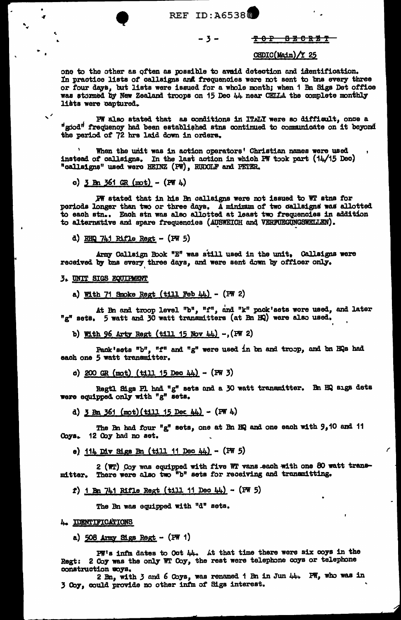**REF ID: A65380** 

#### $-3-$

### CSDIC(Main)/Y 25

<del>202 880RB2</del>

one to the other as often as possible to avaid detection and identification. In practice lists of callsigns and frequencies were not sent to bns every three or four days, but lists were issued for a whole month; when 1 Bn Sigs Det office was stormed by New Zealand troops on 15 Dec 44 near CELLA the complete monthly lists were captured.

PW also stated that as conditions in ITALY were so difficult, once a "good" frequency had been established stns continued to communicate on it beyond the period of 72 hrs laid down in orders.

When the unit was in action operators' Christian names were used instead of callsigns. In the last action in which PW took part (14/15 Dec) "callsigns" used were HEINZ (PW), RUDOLF and PETER.

c)  $3 \text{ Bn } 361 \text{ GR (mot)} - (\text{PW } 4)$ 

PW stated that in his Bn callsigns were not issued to WT stns for poriods longer than two or three days. A minimum of two callsigns was allotted to each stn.. Each stn was also allotted at least two frequencies in addition to alternative and spare frequencies (AUSWEICH and VERFUEGUNGSWELLEN).

d) RHQ 741 Rifle Regt - (PW 5)

Army Callsign Book "E" was still used in the unit, Callsigns were received by bns every three days, and were sent down by officer only.

#### **3. UNIT SIGS EQUIPMENT**

a) With 71 Smoke Regt (till Feb  $44$ ) - (PW 2)

At Bn and troop level "b", "f", and "k" pack'sets wore used, and later<br>"g" sets. 5 watt and 30 watt transmitters (at Bn HQ) were also used.

b) With 96 Arty Regt (till 15 Nov 44) -, (PW 2)

Pack'sets "b", "f" and "g" were used in bn and troop, and bn HQs had each one 5 watt transmitter.

c) 200 GR (mot) (till 15 Dec 44) - (PW 3)

Regtl Sigs Pl had "g" sets and a 30 watt transmitter. Bn HQ sigs dets were equipped only with "g" sets.

d) 3 Bn 361 (mot) (till 15 Dec 44) - (PW 4)

The Bn had four "g" sets, one at Bn HQ and one each with 9,10 and 11 Coys. 12 Coy had no set.

e)  $114$  Div Sigs Bn (till 11 Dec 44) - (PW 5)

2 (WT) Coy was equipped with five WT vans each with one 80 watt transmitter. There were also two "b" sets for receiving and transmitting.

f) 1 Bn 741 Rifle Regt (till 11 Dec 44) - (PW 5)

The Bn was equipped with "d" sets.

#### 4. IDENTIFICATIONS

a)  $508$  Army Sigs Regt - (PW 1)

 $PH''s$  infm dates to Oct  $44$ . At that time there were six coys in the Regt: 2 Coy was the only WT Coy, the rest were telephone coys or telephone construction woys.

2 Bn, with 3 and 6 Coys, was renamed 1 Bn in Jun 44. PW, who was in 3 Coy, could provide no other infm of Sigs interest.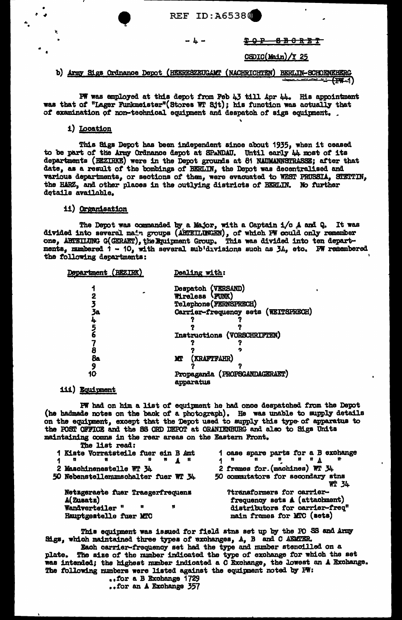#### - 4 –

CSDIC(Main)/Y 25

<del>202 880RBT</del>

## b) Army Sigs Ordnance Depot (HEERESZEUGAMT (NACHRICHTEN) BERLIN-SCHOENEHERG  $(1)$

PW was employed at this depot from Feb 43 till Apr 44. His appointment was that of "Lager Funkmeister"(Stores WT Sjt); his function was actually that of examination of non-technical equipment and despatch of sigs equipment.

### i) Location

This Sigs Depot has been independent since about 1935, when it ceased to be part of the Army Ordnance depot at SPANDAU. Until early 44 most of its departments (BEZIRKE) were in the Depot grounds at 81 NAUMANNSTRASSE; after that date, as a result of the bombings of BERLIN, the Depot was decentralised and various departments, or sections of them, were evacuated to WEST PRUSSIA, STETTIN, the HARZ, and other places in the outlying districts of BERLIN. No further details available.

#### ii) Organisation

The Depot was commanded by a Major, with a Captain i/o A and Q. It was divided into several main groups (ABTEILUNGEN), of which PW could only remember one, ABTEILUNG G(GERAET), the Equipment Group. This was divided into ten departments, numbered 1 - 10, with several sub'divisions such as 34, etc. PW remembered the following departments:

| Dealing with:                              |
|--------------------------------------------|
| Despatch (VERSAND)                         |
| Wireless (FUNK)                            |
| Telephone (FERNSPRECH)                     |
| Carrier-frequency sets (WEITSPRECH)        |
|                                            |
|                                            |
| Instructions (VORSCHRIFTEN)                |
|                                            |
|                                            |
| (kraftfahr)<br>MТ                          |
|                                            |
| Propaganda (PROPSGANDAGERAET)<br>apparatus |
|                                            |

**iii) Equipment** 

PW had on him a list of equipment he had once despatched from the Depot (he hadmade notes on the back of a photograph). He was unable to supply details on the equipment, except that the Depot used to supply this type of apparatus to the POST OFFICE and the SS ORD DEPOT at ORANIENBURG and also to Sigs Units maintaining comns in the rear areas on the Eastern Front.

| The list read:                                                           |                                                             |
|--------------------------------------------------------------------------|-------------------------------------------------------------|
| 1 Kiste Vorratsteile fuer ein B Amt                                      | 1 case spare parts for a B exchange                         |
| $\mathbf{H}$ $\mathbf{H}$ $\mathbf{A}$ $\mathbf{H}$<br>$\mathbf{M}$<br>n | <b>HIIA</b>                                                 |
| 2 Maschinenestelle WT 34                                                 | 2 frames for. (machines) WT 34                              |
| 50 Nebenstellenumschalter fuer WT 34                                     | 50 commutators for secondary stns<br><b>WT 34</b>           |
| Netzgeraete fuer Traegerfrequenz<br>A(Zusatz)                            | ?transformers for carrier-<br>frequency sets A (attachment) |
| Wandverteiler "<br>Ħ<br>R                                                | distributors for carrier-freq"                              |
| Hauptgeatelle fuer MTC                                                   | main frames for MTC (sets)                                  |

This equipment was issued for field stns set up by the PO SS and Army Sigs, which maintained three types of exchanges, A, B and C AEMTER.

Each carrier-frequency set had the type and number stencilled on a The size of the number indicated the type of exchange for which the set plate. was intended; the highest number indicated a C Exchange, the lowest an A Exchange. The following numbers were listed against the equipment noted by FW:

..for a B Exchange 1729 ..for an A Exchange 357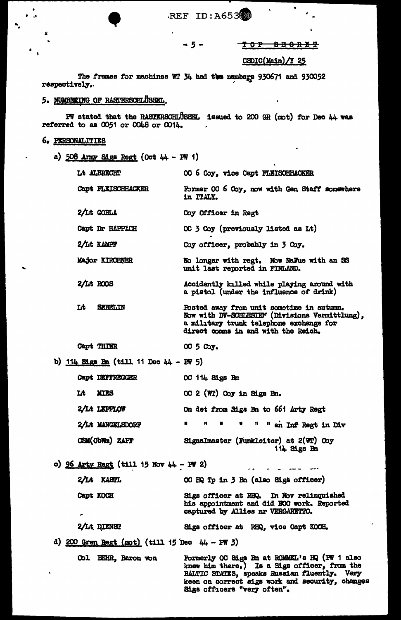REF ID:A65380

## TOP 880RBT

À,

 $\epsilon_{\rm{in}}$ 

## CSDIC(Main)/Y 25

 $\overline{a}$ 

The frames for machines WT 34 had the numbers 930671 and 930052 respectively.

 $-5-$ 

 $\mathbf{r}$ 

# 5. NUMBERING OF RASTERSOFILUSSEL.

PW stated that the RASTERSCHLUSSEL issued to 200 GR (mot) for Dec 44 was referred to as 0051 or 0048 or 0014.

## 6. PERSONALITIES

 $\overline{\mathbf{r}}$ 

 $\ddot{\phantom{0}}$ 

 $\pmb{\kappa}$ 

a)  $508$  Army Sigs Regt (Oct 44 - FW 1)

| Lt ALBRECHT                                      | OC 6 Coy, vice Capt FLEISCHHACKER                                                                                                                                             |
|--------------------------------------------------|-------------------------------------------------------------------------------------------------------------------------------------------------------------------------------|
| Capt FLEISCHHACKER                               | Former OC 6 Coy, now with Gen Staff somewhere<br>in ITALY.                                                                                                                    |
| 2/It GOBLA                                       | Coy Officer in Regt                                                                                                                                                           |
| Capt Dr HAPPACH                                  | OC 3 Coy (previously listed as Lt)                                                                                                                                            |
| 2/Lt KAMPF                                       | Coy officer, probably in 3 Coy.                                                                                                                                               |
| Major KIRCHNER                                   | No longer with regt. Now NaFue with an SS<br>unit last reported in FINLAND.                                                                                                   |
| 2/Lt ROOS                                        | Accidently killed while playing around with<br>a pistol (under the influence of drink)                                                                                        |
| Lt<br><b>SKREILIN</b>                            | Posted away from unit sometime in autumn.<br>Now with DV-SCHLESIE" (Divisions Vermittlung),<br>a military trunk telephone exchange for<br>direct comms in and with the Reich. |
| Capt THIER                                       | 00 5 Соу.                                                                                                                                                                     |
| b) $114$ Sigs Bn (till 11 Dec 44 - PW 5)         |                                                                                                                                                                               |
| <b>Capt DEFFREGGER</b>                           | OC 114 Sigs Bn                                                                                                                                                                |
| Lt<br><b>KITES</b>                               | OC 2 (WT) Coy in Sigs Bn.                                                                                                                                                     |
| 2/Lt LEPPLOW                                     | On det from Sigs Bn to 661 Arty Regt                                                                                                                                          |
| 2/Lt MANGELSDORF                                 | n<br>n<br>n<br>Ħ<br>" an Inf Regt in Div<br>n                                                                                                                                 |
| CSM(ObWm) ZAPP                                   | Signalmaster (Funkleiter) at 2(WT) Coy<br>114 Sigs Bn                                                                                                                         |
| o) $96$ Arty Regt (till 15 Nov 44 - PW 2)        |                                                                                                                                                                               |
| 2/Lt KASTL                                       | OC HQ Tp in 3 Bn (also Sigs officer)                                                                                                                                          |
| Capt KOCH                                        | Sigs officer at RHQ. In Nov relinquished<br>his appointment and did BOO work. Reported<br>captured by Allies nr VERGARETTO.                                                   |
| 2/Lt DIENST                                      | Sigs officer at RHQ, vice Capt KOCH.                                                                                                                                          |
| d) 200 Gren Regt (mot) (till 15 Dec $44 - PW$ 3) |                                                                                                                                                                               |
| Col BEHR, Baron von                              | Formerly OC Sigs Bn at ROMMEL's HQ (PW 1 also<br>knew him there.) Is a Sigs officer, from the<br><b>BALTIC STATES, speaks Rusaian fluently. Very</b>                          |

keen on correct sigs work and security, changes

Sigs officers "very often".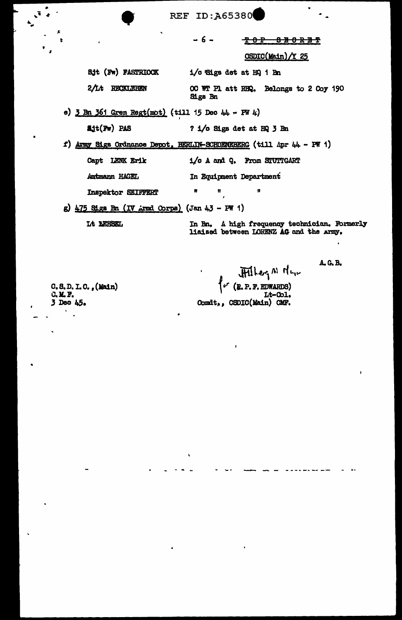**REF ID: A65380** 

- 6 -

<del>થ 8 ਇ</del> **BBORBT** 

CSDIC(Main)/Y 25

Sjt (Fw) FASTRIOCK 1/o Sigs det at HQ 1 Bn

2/Lt RECKLEBEN OC WT Pl att RHQ. Belongs to 2 Coy 190 **Sigs Bn** 

e)  $3$  Bn 361 Gren Regt(mot) (till 15 Dec 44 - PW 4)

? 1/o Sigs det at HQ 3 Bn

f) Army Sigs Ordnance Depot, BERLIN-SCHOENEBERG (till Apr 44 - PW 1)

Capt LENK Erik 1/o A and Q. From STUTTGART

Antmann HAGEL In Equipment Department

Ħ Inspektor SEIFFERT

g)  $\frac{175 \text{ S} \text{Lg}}{100 \text{ kg}}$  Bn (IV Armd Corps) (Jan 4.3 - PW 1)

Lt LEHSEL

 $\text{Ailt}(\text{Fw})$  PAS

In Bn. A high frequency technician. Formerly liaised between LORENZ AG and the Army.

C.S.D.I.C., (Main)  $C.$   $M.$   $F.$ 3 Deo 45.

 $\tilde{\mathbf{v}}$ 

 $HHker_{1}$ <sup>A</sup>  $H_{u_{1}v}$ <br>(B. P. F. EDWARDS) Lt-Col. Comdt,, CSDIC(Main) CMF.

Ħ

A. G. B.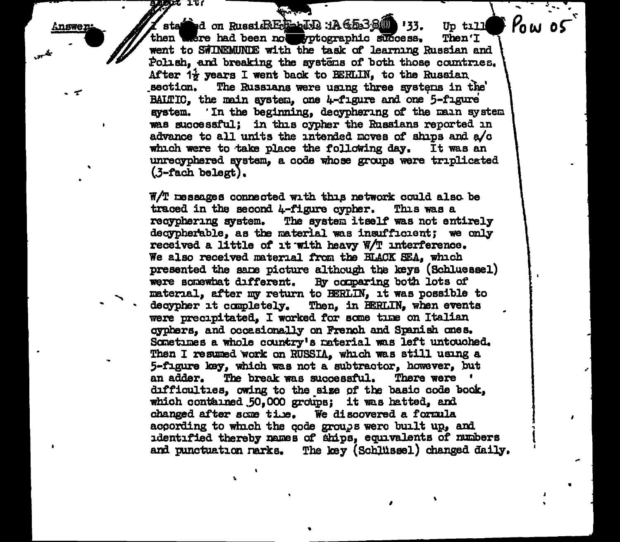**Answer** 

\ ... - -- state it a constitution of the constitution of the *point of the state is a vertical* on Russi  $R$  and  $R$  *Potographic success.* Then *T* then were had been not prographic success. went to SWINEMUNDE with the task of learning Russian and Polish, and breaking the systems of both those countries. After  $1\frac{1}{2}$  years I went back to BERLIN, to the Russian section. The Russians were using three systems in the' BALTIC, the main system, one  $4$ -figure and one 5-figure system. In the beginning, decyphering of the main system was successful; in this cypher the Russians reported in advance to all units the intended moves of ships and  $a/c$  which were to take place the following day. It was an which were to take place the following day. unrecyphered system, a code whose groups were triplicated (.3-tach belegt) •

 $W/T$  messages connected with this network could also. be traced in the second  $\mu$ -figure cypher. This was a traced in the second  $4$ -figure cypher.<br>recyphering system. The system itself The system itself was not entirely decypherable, as the material was insufficient; we only received a little of it with heavy  $W/T$  interference. We also received material from the BLACK SEA, which presented the same picture although the keys (Schluessel) were somewhat different. By comparing both lots of material, after my return to BERLIN, it was possible to decypher it completely. Then, in BERLIN, when events were precipitated, I worked for some time on Italian cyphers, and occasionally on French and Spanish ones. Sometimes a whole country's raterial was left untouched. Then I resumed work on RUSSIA, which was still using a 5-figure key, which was not a subtractor, however, but<br>an adder. The break was successful. There were ' The break was successful. difficulties, owing to the size of the basic code book, which contained 50,000 groups; it was hatted, and changed after some time. We discovered a formula according to which the code groups were built up, and identified thereby mames of ships, equivalents of mumbers and punctuation narks. The key (Schlüssel) changed daily.

•

I

i I

•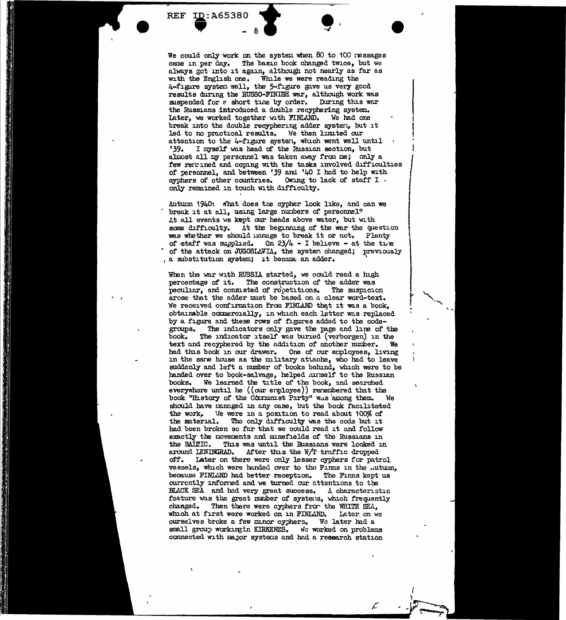$\overline{\phantom{1}}$  - 8  $\overline{\phantom{1}}$  .<br>We could only work on the system when 80 to 100 ressages came in per day. The basic book changed twice, but we always got into it again, although not nearly as far as with the English one. While we were reading the 4-figure system well, the 5-figure gave us very good results during the RUSSO-FINISH war, although work was suspended for a short time by order. During this war the Russians introduced a double recyphering system.<br>Later, we worked together with FINLAND. We had one Iater, we worked together with FINLAND. break into the double recyphering adder systen, but it led to no practical results. We then limited our attention to the 4-figure system, which went well until<br> $139.$  I myself was bead of the Russian section, but I myself was head of the Russian section, but almost all my personnel was taken away from me; only a few renained and coping with the tasks involved difficulties of personnel, and between '39 and '40 I had to help with eyphers of other countries. Owing to lack of staff I only remained in touch with difficulty.

•

<u>National School and</u>

**REF ID: A65380** 

Autumn 1940: what does tne cypher look like, and can we break it at all, using large numbers of personnel? At all events we kept our heads above water, but with some difficulty. At the beginning of the war the question was whether we should manage to break it or not. Plenty of staff was supplied. On  $23/4$  - I believe - at the time of the attack on JUGOSLAVIA, the system changed; previously , a substitution system; it became an adder.

When the war with RUSSIA started, we could read a high percentage of it. The construction of the adder was peculiar, and consisted of repetitions. The suspicion arose that the adder must be based on a clear word-text. We received confirmation from FINLAND that it was a book, obtainable commercially, in which each letter was replaced by a figure and these rows of figures added to the code-groups. The indicators only gave the page and line of groups. The indicators only gave the page and line of the book. The indicator itself was buried (verborgen) in the The indicator itself was buried (verborgen) in the incremental by the addition of another number. We text and recyphered by the addition of another number. had this book in our drawer. One of our employees, living in the sane house as the military attache, who had to leave suddenly and left a number of books behind, which were to be handed over to book-salvage, helped musslf to the Russian books. We learned the title of the book. and searched We learned the title of the book, and searched everywhere until he  $((our$  erployee)) rerembered that the book "History of the Cornunist Party" was among them. We should have managed in any case, but the book facilitated the work. We were in a position to read about 100% of the material. The only difficulty was the code but it had been broken so far that we could read it and follow exactly the novements and minefields of the Russians in the BAINIC. This was until the Russians were locked in This was until the Russians were locked in around LENINGRAD. After this the  $W/T$  traffic dropped off. Later on there were only lesser cyphers for patrol vessels, which were handed over to the Finns in the ..utumn, because FINLAND had better reception. The Finns kept us currently informed and we turned our attentions to the BLACK SEA and had very great success.  $\Lambda$  characteristic feature was the great number of systems, which frequently changed. Then there were cyphers from the WHITE SEA, which at first were worked on in FINLAND. Later on we ourselves broke a few minor cyphers. We later had a small group workingin KIRKENES. We worked on problems connected with major systems and had a research station

 $\overline{\mathcal{L}}$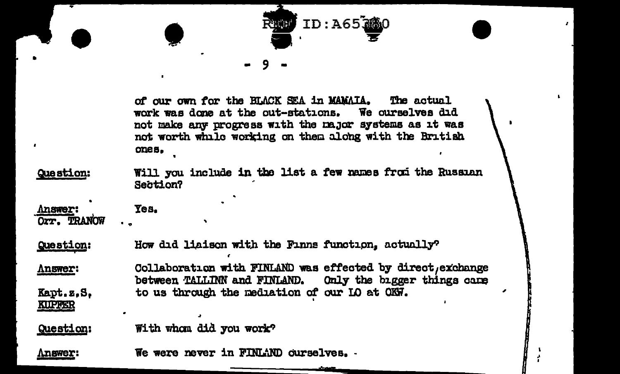

of our own for the BLACK SEA in MAMAIA. The actual work was done at the out-stations. We ourselves did not make any progress with the major systems as it was not worth while working on them along with the British ones.

Will you include in the list a few names from the Russian Question: Section?

**Answer:** Orr. TRANOW

**KUPFER** 

**Answer:** 

Question: How did liaison with the Finns function, actually?

Collaboration with FINLAND was effected by direct, exchange **Answer:** Only the bigger things came between TALLINN and FINLAND. to us through the mediation of our LO at OKW. Kapt.z.S.

With whom did you work? Question:

Yes.

We were never in FINLAND ourselves. -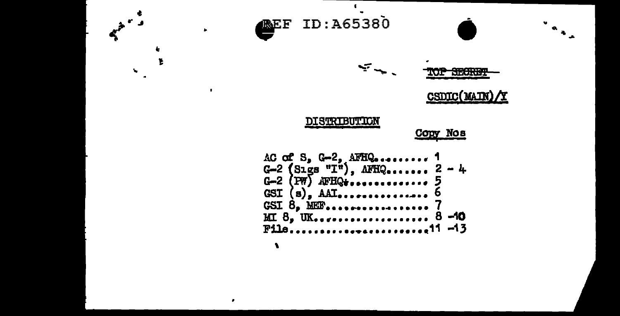